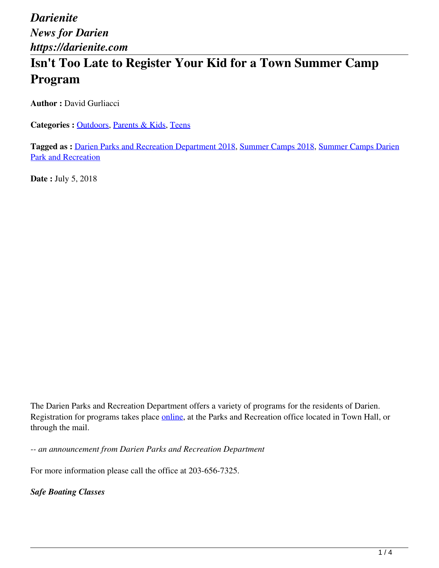# **Isn't Too Late to Register Your Kid for a Town Summer Camp Program**

**Author : David Gurliacci** 

Categories : **Outdoors**, Parents & Kids, Teens

**Tagged as :** Darien Parks and Recreation Department 2018, Summer Camps 2018, Summer Camps Darien Park and Recreation

**Date :** July 5, 2018

The Darien Parks and Recreation Department offers a variety of programs for the residents of Darien. Registration for programs takes place *online*, at the Parks and Recreation office located in Town Hall, or through the mail.

*-- an announcement from Darien Parks and Recreation Department*

For more information please call the office at 203-656-7325.

*Safe Boating Classes*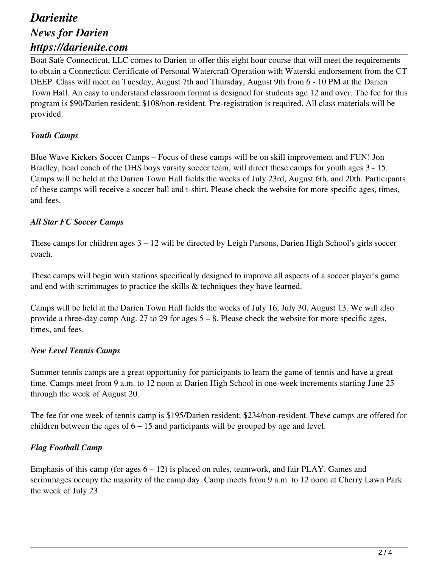## *Darienite News for Darien https://darienite.com*

Boat Safe Connecticut, LLC comes to Darien to offer this eight hour course that will meet the requirements to obtain a Connecticut Certificate of Personal Watercraft Operation with Waterski endorsement from the CT DEEP. Class will meet on Tuesday, August 7th and Thursday, August 9th from 6 - 10 PM at the Darien Town Hall. An easy to understand classroom format is designed for students age 12 and over. The fee for this program is \$90/Darien resident; \$108/non-resident. Pre-registration is required. All class materials will be provided.

#### *Youth Camps*

Blue Wave Kickers Soccer Camps – Focus of these camps will be on skill improvement and FUN! Jon Bradley, head coach of the DHS boys varsity soccer team, will direct these camps for youth ages 3 - 15. Camps will be held at the Darien Town Hall fields the weeks of July 23rd, August 6th, and 20th. Participants of these camps will receive a soccer ball and t-shirt. Please check the website for more specific ages, times, and fees.

#### *All Star FC Soccer Camps*

These camps for children ages 3 – 12 will be directed by Leigh Parsons, Darien High School's girls soccer coach.

These camps will begin with stations specifically designed to improve all aspects of a soccer player's game and end with scrimmages to practice the skills & techniques they have learned.

Camps will be held at the Darien Town Hall fields the weeks of July 16, July 30, August 13. We will also provide a three-day camp Aug. 27 to 29 for ages 5 – 8. Please check the website for more specific ages, times, and fees.

#### *New Level Tennis Camps*

Summer tennis camps are a great opportunity for participants to learn the game of tennis and have a great time. Camps meet from 9 a.m. to 12 noon at Darien High School in one-week increments starting June 25 through the week of August 20.

The fee for one week of tennis camp is \$195/Darien resident; \$234/non-resident. These camps are offered for children between the ages of  $6 - 15$  and participants will be grouped by age and level.

#### *Flag Football Camp*

Emphasis of this camp (for ages  $6 - 12$ ) is placed on rules, teamwork, and fair PLAY. Games and scrimmages occupy the majority of the camp day. Camp meets from 9 a.m. to 12 noon at Cherry Lawn Park the week of July 23.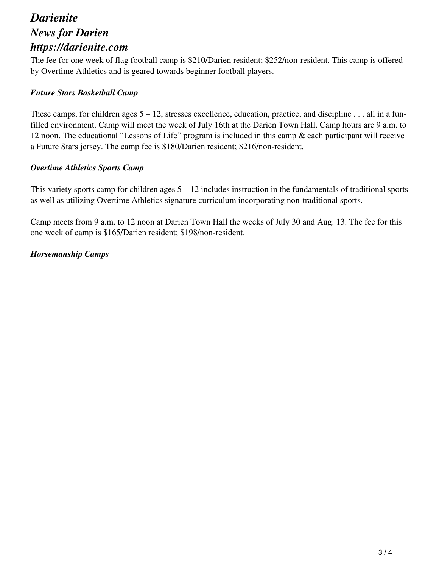### *Darienite News for Darien https://darienite.com*

The fee for one week of flag football camp is \$210/Darien resident; \$252/non-resident. This camp is offered by Overtime Athletics and is geared towards beginner football players.

#### *Future Stars Basketball Camp*

These camps, for children ages  $5 - 12$ , stresses excellence, education, practice, and discipline . . . all in a funfilled environment. Camp will meet the week of July 16th at the Darien Town Hall. Camp hours are 9 a.m. to 12 noon. The educational "Lessons of Life" program is included in this camp & each participant will receive a Future Stars jersey. The camp fee is \$180/Darien resident; \$216/non-resident.

#### *Overtime Athletics Sports Camp*

This variety sports camp for children ages 5 – 12 includes instruction in the fundamentals of traditional sports as well as utilizing Overtime Athletics signature curriculum incorporating non-traditional sports.

Camp meets from 9 a.m. to 12 noon at Darien Town Hall the weeks of July 30 and Aug. 13. The fee for this one week of camp is \$165/Darien resident; \$198/non-resident.

#### *Horsemanship Camps*